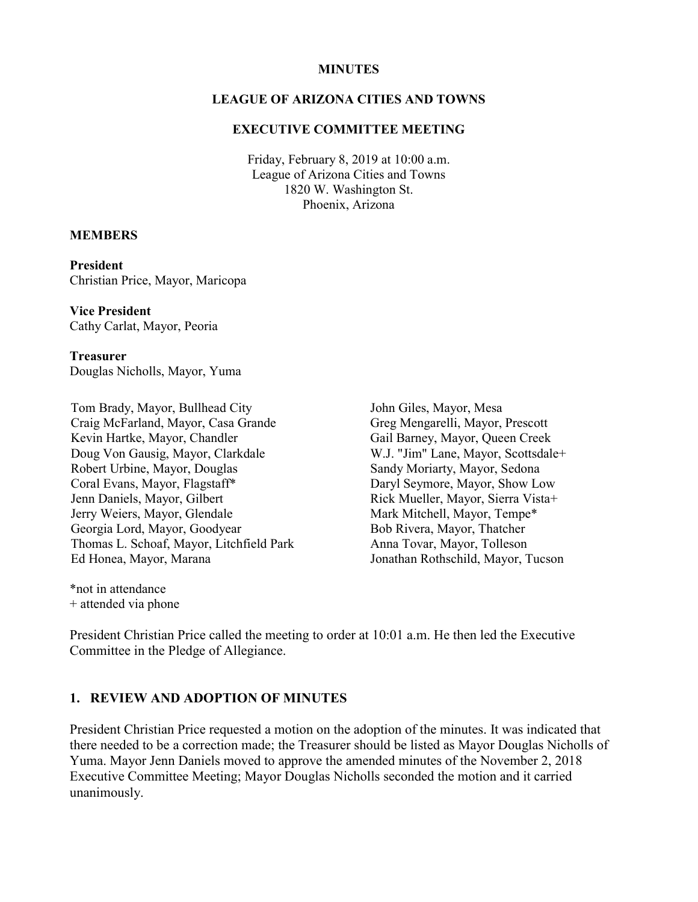#### **MINUTES**

#### **LEAGUE OF ARIZONA CITIES AND TOWNS**

#### **EXECUTIVE COMMITTEE MEETING**

Friday, February 8, 2019 at 10:00 a.m. League of Arizona Cities and Towns 1820 W. Washington St. Phoenix, Arizona

#### **MEMBERS**

**President** Christian Price, Mayor, Maricopa

**Vice President** Cathy Carlat, Mayor, Peoria

**Treasurer** Douglas Nicholls, Mayor, Yuma

Tom Brady, Mayor, Bullhead City Craig McFarland, Mayor, Casa Grande Kevin Hartke, Mayor, Chandler Doug Von Gausig, Mayor, Clarkdale Robert Urbine, Mayor, Douglas Coral Evans, Mayor, Flagstaff\* Jenn Daniels, Mayor, Gilbert Jerry Weiers, Mayor, Glendale Georgia Lord, Mayor, Goodyear Thomas L. Schoaf, Mayor, Litchfield Park Ed Honea, Mayor, Marana

John Giles, Mayor, Mesa Greg Mengarelli, Mayor, Prescott Gail Barney, Mayor, Queen Creek W.J. "Jim" Lane, Mayor, Scottsdale+ Sandy Moriarty, Mayor, Sedona Daryl Seymore, Mayor, Show Low Rick Mueller, Mayor, Sierra Vista+ Mark Mitchell, Mayor, Tempe\* Bob Rivera, Mayor, Thatcher Anna Tovar, Mayor, Tolleson Jonathan Rothschild, Mayor, Tucson

\*not in attendance + attended via phone

President Christian Price called the meeting to order at 10:01 a.m. He then led the Executive Committee in the Pledge of Allegiance.

#### **1. REVIEW AND ADOPTION OF MINUTES**

President Christian Price requested a motion on the adoption of the minutes. It was indicated that there needed to be a correction made; the Treasurer should be listed as Mayor Douglas Nicholls of Yuma. Mayor Jenn Daniels moved to approve the amended minutes of the November 2, 2018 Executive Committee Meeting; Mayor Douglas Nicholls seconded the motion and it carried unanimously.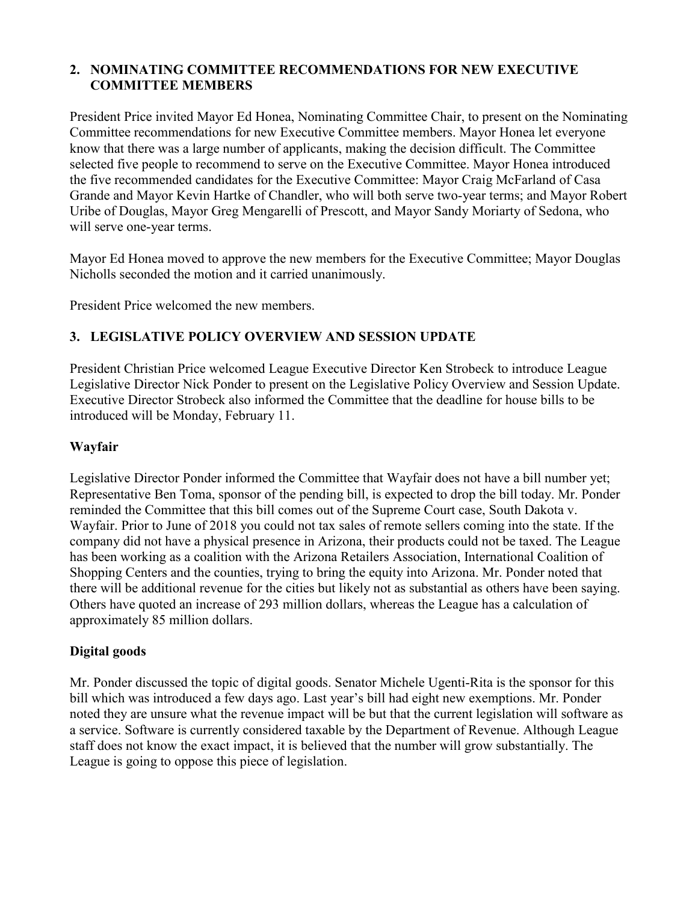### **2. NOMINATING COMMITTEE RECOMMENDATIONS FOR NEW EXECUTIVE COMMITTEE MEMBERS**

President Price invited Mayor Ed Honea, Nominating Committee Chair, to present on the Nominating Committee recommendations for new Executive Committee members. Mayor Honea let everyone know that there was a large number of applicants, making the decision difficult. The Committee selected five people to recommend to serve on the Executive Committee. Mayor Honea introduced the five recommended candidates for the Executive Committee: Mayor Craig McFarland of Casa Grande and Mayor Kevin Hartke of Chandler, who will both serve two-year terms; and Mayor Robert Uribe of Douglas, Mayor Greg Mengarelli of Prescott, and Mayor Sandy Moriarty of Sedona, who will serve one-year terms.

Mayor Ed Honea moved to approve the new members for the Executive Committee; Mayor Douglas Nicholls seconded the motion and it carried unanimously.

President Price welcomed the new members.

## **3. LEGISLATIVE POLICY OVERVIEW AND SESSION UPDATE**

President Christian Price welcomed League Executive Director Ken Strobeck to introduce League Legislative Director Nick Ponder to present on the Legislative Policy Overview and Session Update. Executive Director Strobeck also informed the Committee that the deadline for house bills to be introduced will be Monday, February 11.

#### **Wayfair**

Legislative Director Ponder informed the Committee that Wayfair does not have a bill number yet; Representative Ben Toma, sponsor of the pending bill, is expected to drop the bill today. Mr. Ponder reminded the Committee that this bill comes out of the Supreme Court case, South Dakota v. Wayfair. Prior to June of 2018 you could not tax sales of remote sellers coming into the state. If the company did not have a physical presence in Arizona, their products could not be taxed. The League has been working as a coalition with the Arizona Retailers Association, International Coalition of Shopping Centers and the counties, trying to bring the equity into Arizona. Mr. Ponder noted that there will be additional revenue for the cities but likely not as substantial as others have been saying. Others have quoted an increase of 293 million dollars, whereas the League has a calculation of approximately 85 million dollars.

### **Digital goods**

Mr. Ponder discussed the topic of digital goods. Senator Michele Ugenti-Rita is the sponsor for this bill which was introduced a few days ago. Last year's bill had eight new exemptions. Mr. Ponder noted they are unsure what the revenue impact will be but that the current legislation will software as a service. Software is currently considered taxable by the Department of Revenue. Although League staff does not know the exact impact, it is believed that the number will grow substantially. The League is going to oppose this piece of legislation.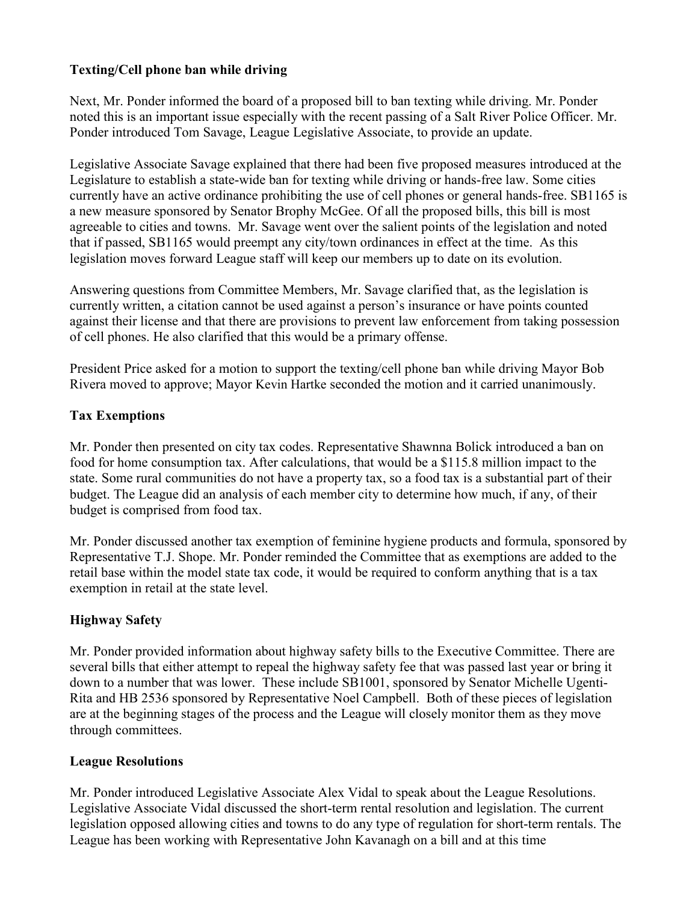## **Texting/Cell phone ban while driving**

Next, Mr. Ponder informed the board of a proposed bill to ban texting while driving. Mr. Ponder noted this is an important issue especially with the recent passing of a Salt River Police Officer. Mr. Ponder introduced Tom Savage, League Legislative Associate, to provide an update.

Legislative Associate Savage explained that there had been five proposed measures introduced at the Legislature to establish a state-wide ban for texting while driving or hands-free law. Some cities currently have an active ordinance prohibiting the use of cell phones or general hands-free. SB1165 is a new measure sponsored by Senator Brophy McGee. Of all the proposed bills, this bill is most agreeable to cities and towns. Mr. Savage went over the salient points of the legislation and noted that if passed, SB1165 would preempt any city/town ordinances in effect at the time. As this legislation moves forward League staff will keep our members up to date on its evolution.

Answering questions from Committee Members, Mr. Savage clarified that, as the legislation is currently written, a citation cannot be used against a person's insurance or have points counted against their license and that there are provisions to prevent law enforcement from taking possession of cell phones. He also clarified that this would be a primary offense.

President Price asked for a motion to support the texting/cell phone ban while driving Mayor Bob Rivera moved to approve; Mayor Kevin Hartke seconded the motion and it carried unanimously.

## **Tax Exemptions**

Mr. Ponder then presented on city tax codes. Representative Shawnna Bolick introduced a ban on food for home consumption tax. After calculations, that would be a \$115.8 million impact to the state. Some rural communities do not have a property tax, so a food tax is a substantial part of their budget. The League did an analysis of each member city to determine how much, if any, of their budget is comprised from food tax.

Mr. Ponder discussed another tax exemption of feminine hygiene products and formula, sponsored by Representative T.J. Shope. Mr. Ponder reminded the Committee that as exemptions are added to the retail base within the model state tax code, it would be required to conform anything that is a tax exemption in retail at the state level.

## **Highway Safety**

Mr. Ponder provided information about highway safety bills to the Executive Committee. There are several bills that either attempt to repeal the highway safety fee that was passed last year or bring it down to a number that was lower. These include SB1001, sponsored by Senator Michelle Ugenti-Rita and HB 2536 sponsored by Representative Noel Campbell. Both of these pieces of legislation are at the beginning stages of the process and the League will closely monitor them as they move through committees.

### **League Resolutions**

Mr. Ponder introduced Legislative Associate Alex Vidal to speak about the League Resolutions. Legislative Associate Vidal discussed the short-term rental resolution and legislation. The current legislation opposed allowing cities and towns to do any type of regulation for short-term rentals. The League has been working with Representative John Kavanagh on a bill and at this time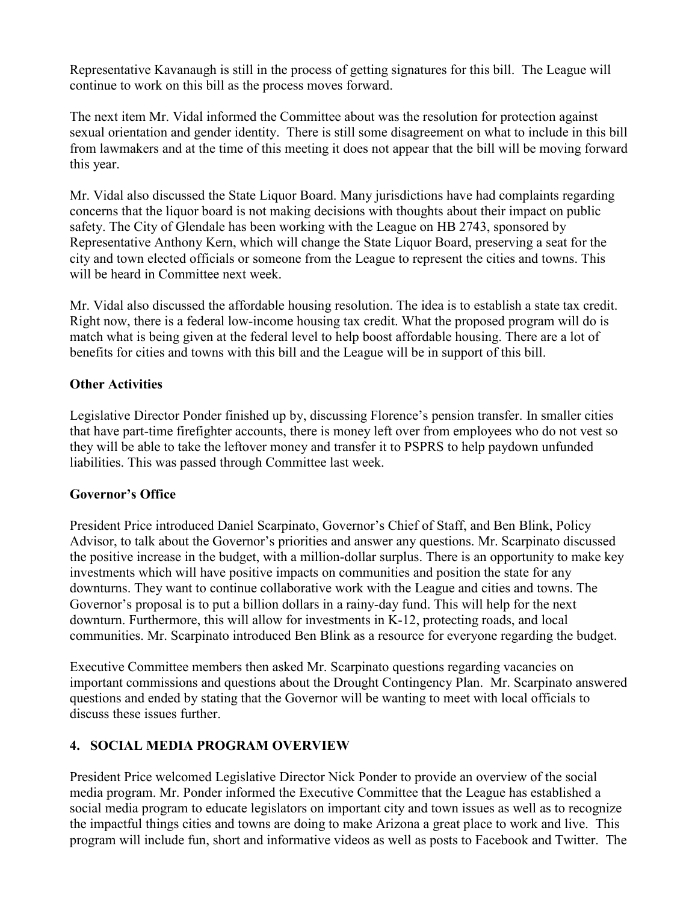Representative Kavanaugh is still in the process of getting signatures for this bill. The League will continue to work on this bill as the process moves forward.

The next item Mr. Vidal informed the Committee about was the resolution for protection against sexual orientation and gender identity. There is still some disagreement on what to include in this bill from lawmakers and at the time of this meeting it does not appear that the bill will be moving forward this year.

Mr. Vidal also discussed the State Liquor Board. Many jurisdictions have had complaints regarding concerns that the liquor board is not making decisions with thoughts about their impact on public safety. The City of Glendale has been working with the League on HB 2743, sponsored by Representative Anthony Kern, which will change the State Liquor Board, preserving a seat for the city and town elected officials or someone from the League to represent the cities and towns. This will be heard in Committee next week.

Mr. Vidal also discussed the affordable housing resolution. The idea is to establish a state tax credit. Right now, there is a federal low-income housing tax credit. What the proposed program will do is match what is being given at the federal level to help boost affordable housing. There are a lot of benefits for cities and towns with this bill and the League will be in support of this bill.

### **Other Activities**

Legislative Director Ponder finished up by, discussing Florence's pension transfer. In smaller cities that have part-time firefighter accounts, there is money left over from employees who do not vest so they will be able to take the leftover money and transfer it to PSPRS to help paydown unfunded liabilities. This was passed through Committee last week.

#### **Governor's Office**

President Price introduced Daniel Scarpinato, Governor's Chief of Staff, and Ben Blink, Policy Advisor, to talk about the Governor's priorities and answer any questions. Mr. Scarpinato discussed the positive increase in the budget, with a million-dollar surplus. There is an opportunity to make key investments which will have positive impacts on communities and position the state for any downturns. They want to continue collaborative work with the League and cities and towns. The Governor's proposal is to put a billion dollars in a rainy-day fund. This will help for the next downturn. Furthermore, this will allow for investments in K-12, protecting roads, and local communities. Mr. Scarpinato introduced Ben Blink as a resource for everyone regarding the budget.

Executive Committee members then asked Mr. Scarpinato questions regarding vacancies on important commissions and questions about the Drought Contingency Plan. Mr. Scarpinato answered questions and ended by stating that the Governor will be wanting to meet with local officials to discuss these issues further.

### **4. SOCIAL MEDIA PROGRAM OVERVIEW**

President Price welcomed Legislative Director Nick Ponder to provide an overview of the social media program. Mr. Ponder informed the Executive Committee that the League has established a social media program to educate legislators on important city and town issues as well as to recognize the impactful things cities and towns are doing to make Arizona a great place to work and live. This program will include fun, short and informative videos as well as posts to Facebook and Twitter. The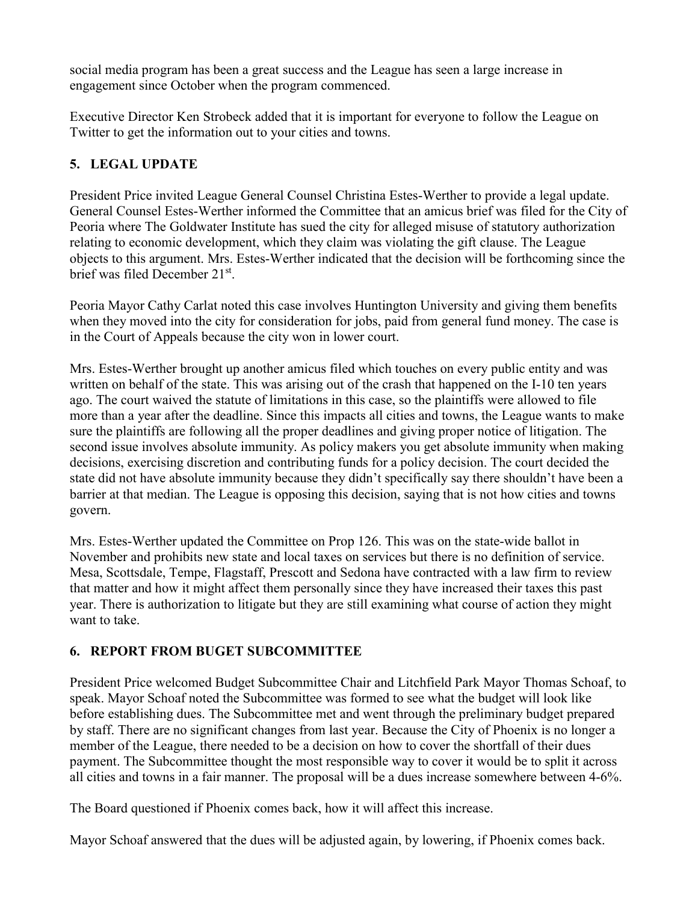social media program has been a great success and the League has seen a large increase in engagement since October when the program commenced.

Executive Director Ken Strobeck added that it is important for everyone to follow the League on Twitter to get the information out to your cities and towns.

## **5. LEGAL UPDATE**

President Price invited League General Counsel Christina Estes-Werther to provide a legal update. General Counsel Estes-Werther informed the Committee that an amicus brief was filed for the City of Peoria where The Goldwater Institute has sued the city for alleged misuse of statutory authorization relating to economic development, which they claim was violating the gift clause. The League objects to this argument. Mrs. Estes-Werther indicated that the decision will be forthcoming since the brief was filed December 21st.

Peoria Mayor Cathy Carlat noted this case involves Huntington University and giving them benefits when they moved into the city for consideration for jobs, paid from general fund money. The case is in the Court of Appeals because the city won in lower court.

Mrs. Estes-Werther brought up another amicus filed which touches on every public entity and was written on behalf of the state. This was arising out of the crash that happened on the I-10 ten years ago. The court waived the statute of limitations in this case, so the plaintiffs were allowed to file more than a year after the deadline. Since this impacts all cities and towns, the League wants to make sure the plaintiffs are following all the proper deadlines and giving proper notice of litigation. The second issue involves absolute immunity. As policy makers you get absolute immunity when making decisions, exercising discretion and contributing funds for a policy decision. The court decided the state did not have absolute immunity because they didn't specifically say there shouldn't have been a barrier at that median. The League is opposing this decision, saying that is not how cities and towns govern.

Mrs. Estes-Werther updated the Committee on Prop 126. This was on the state-wide ballot in November and prohibits new state and local taxes on services but there is no definition of service. Mesa, Scottsdale, Tempe, Flagstaff, Prescott and Sedona have contracted with a law firm to review that matter and how it might affect them personally since they have increased their taxes this past year. There is authorization to litigate but they are still examining what course of action they might want to take.

## **6. REPORT FROM BUGET SUBCOMMITTEE**

President Price welcomed Budget Subcommittee Chair and Litchfield Park Mayor Thomas Schoaf, to speak. Mayor Schoaf noted the Subcommittee was formed to see what the budget will look like before establishing dues. The Subcommittee met and went through the preliminary budget prepared by staff. There are no significant changes from last year. Because the City of Phoenix is no longer a member of the League, there needed to be a decision on how to cover the shortfall of their dues payment. The Subcommittee thought the most responsible way to cover it would be to split it across all cities and towns in a fair manner. The proposal will be a dues increase somewhere between 4-6%.

The Board questioned if Phoenix comes back, how it will affect this increase.

Mayor Schoaf answered that the dues will be adjusted again, by lowering, if Phoenix comes back.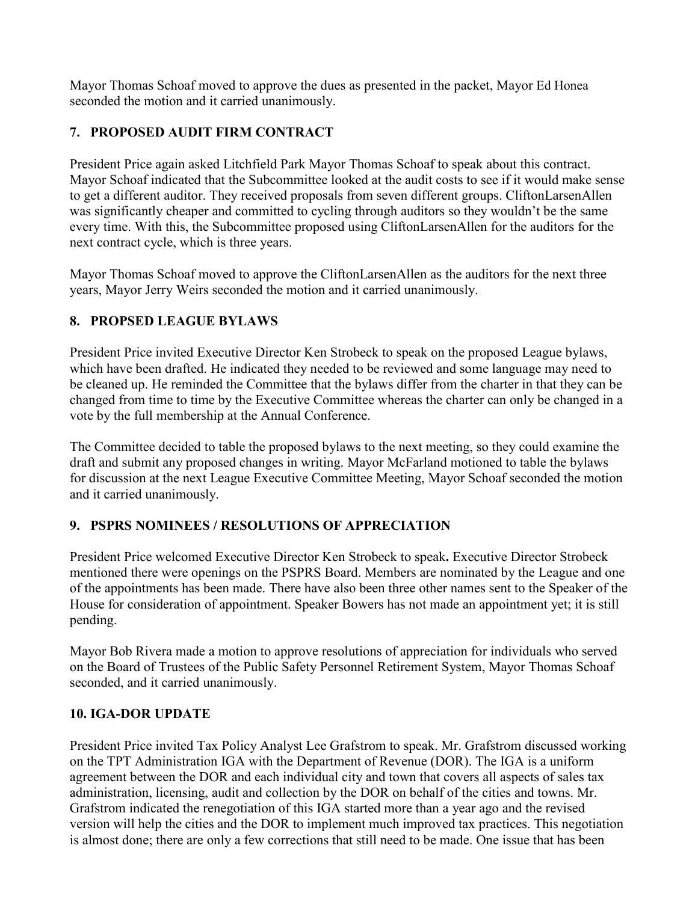Mayor Thomas Schoaf moved to approve the dues as presented in the packet, Mayor Ed Honea seconded the motion and it carried unanimously.

# **7. PROPOSED AUDIT FIRM CONTRACT**

President Price again asked Litchfield Park Mayor Thomas Schoaf to speak about this contract. Mayor Schoaf indicated that the Subcommittee looked at the audit costs to see if it would make sense to get a different auditor. They received proposals from seven different groups. CliftonLarsenAllen was significantly cheaper and committed to cycling through auditors so they wouldn't be the same every time. With this, the Subcommittee proposed using CliftonLarsenAllen for the auditors for the next contract cycle, which is three years.

Mayor Thomas Schoaf moved to approve the CliftonLarsenAllen as the auditors for the next three years, Mayor Jerry Weirs seconded the motion and it carried unanimously.

## **8. PROPSED LEAGUE BYLAWS**

President Price invited Executive Director Ken Strobeck to speak on the proposed League bylaws, which have been drafted. He indicated they needed to be reviewed and some language may need to be cleaned up. He reminded the Committee that the bylaws differ from the charter in that they can be changed from time to time by the Executive Committee whereas the charter can only be changed in a vote by the full membership at the Annual Conference.

The Committee decided to table the proposed bylaws to the next meeting, so they could examine the draft and submit any proposed changes in writing. Mayor McFarland motioned to table the bylaws for discussion at the next League Executive Committee Meeting, Mayor Schoaf seconded the motion and it carried unanimously.

### **9. PSPRS NOMINEES / RESOLUTIONS OF APPRECIATION**

President Price welcomed Executive Director Ken Strobeck to speak**.** Executive Director Strobeck mentioned there were openings on the PSPRS Board. Members are nominated by the League and one of the appointments has been made. There have also been three other names sent to the Speaker of the House for consideration of appointment. Speaker Bowers has not made an appointment yet; it is still pending.

Mayor Bob Rivera made a motion to approve resolutions of appreciation for individuals who served on the Board of Trustees of the Public Safety Personnel Retirement System, Mayor Thomas Schoaf seconded, and it carried unanimously.

## **10. IGA-DOR UPDATE**

President Price invited Tax Policy Analyst Lee Grafstrom to speak. Mr. Grafstrom discussed working on the TPT Administration IGA with the Department of Revenue (DOR). The IGA is a uniform agreement between the DOR and each individual city and town that covers all aspects of sales tax administration, licensing, audit and collection by the DOR on behalf of the cities and towns. Mr. Grafstrom indicated the renegotiation of this IGA started more than a year ago and the revised version will help the cities and the DOR to implement much improved tax practices. This negotiation is almost done; there are only a few corrections that still need to be made. One issue that has been